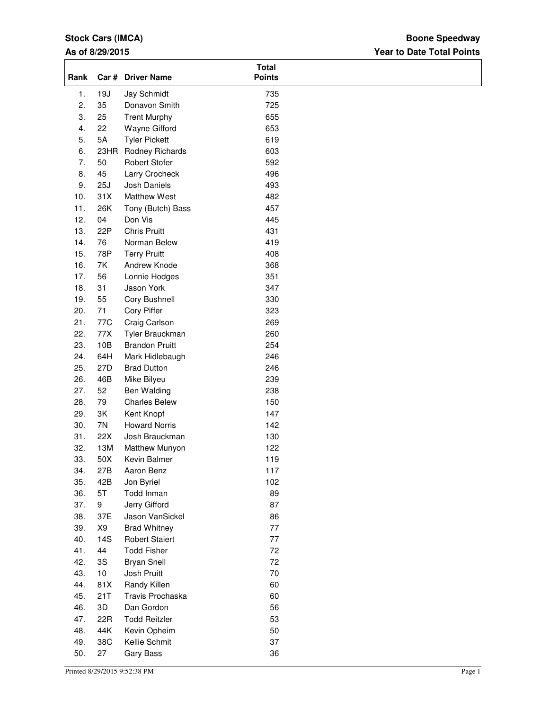## **Stock Cars (IMCA)**

## **As of 8/29/2015**

## **Year to Date Total Points Boone Speedway**

| Rank             |      | Car # Driver Name     | <b>Total</b><br><b>Points</b> |  |
|------------------|------|-----------------------|-------------------------------|--|
| 1.               | 19J  | Jay Schmidt           | 735                           |  |
| 2.               | 35   | Donavon Smith         | 725                           |  |
| 3.               | 25   | <b>Trent Murphy</b>   | 655                           |  |
| $\overline{4}$ . | 22   | Wayne Gifford         | 653                           |  |
| 5.               | 5A   | <b>Tyler Pickett</b>  | 619                           |  |
| 6.               | 23HR | Rodney Richards       | 603                           |  |
| 7.               | 50   | <b>Robert Stofer</b>  | 592                           |  |
| 8.               | 45   | Larry Crocheck        | 496                           |  |
| 9.               | 25J  | Josh Daniels          | 493                           |  |
| 10.              | 31X  | <b>Matthew West</b>   | 482                           |  |
| 11.              | 26K  | Tony (Butch) Bass     | 457                           |  |
| 12.              | 04   | Don Vis               | 445                           |  |
| 13.              | 22P  | <b>Chris Pruitt</b>   | 431                           |  |
| 14.              | 76   | Norman Belew          | 419                           |  |
| 15.              | 78P  | <b>Terry Pruitt</b>   | 408                           |  |
| 16.              | 7K   | Andrew Knode          | 368                           |  |
| 17.              | 56   | Lonnie Hodges         | 351                           |  |
| 18.              | 31   | Jason York            | 347                           |  |
| 19.              | 55   | Cory Bushnell         | 330                           |  |
| 20.              | 71   | Cory Piffer           | 323                           |  |
| 21.              | 77C  | Craig Carlson         | 269                           |  |
| 22.              | 77X  | Tyler Brauckman       | 260                           |  |
| 23.              | 10B  | <b>Brandon Pruitt</b> | 254                           |  |
| 24.              | 64H  | Mark Hidlebaugh       | 246                           |  |
| 25.              | 27D  | <b>Brad Dutton</b>    | 246                           |  |
| 26.              | 46B  | Mike Bilyeu           | 239                           |  |
| 27.              | 52   | Ben Walding           | 238                           |  |
| 28.              | 79   | <b>Charles Belew</b>  | 150                           |  |
| 29.              | 3K   | Kent Knopf            | 147                           |  |
| 30.              | 7N   | <b>Howard Norris</b>  | 142                           |  |
| 31.              | 22X  | Josh Brauckman        | 130                           |  |
| 32.              | 13M  | Matthew Munyon        | 122                           |  |
| 33.              | 50X  | Kevin Balmer          | 119                           |  |
| 34.              | 27B  | Aaron Benz            | 117                           |  |
| 35.              | 42B  | Jon Byriel            | 102                           |  |
| 36.              | 5T   | Todd Inman            | 89                            |  |
| 37.              | 9    | Jerry Gifford         | 87                            |  |
| 38.              | 37E  | Jason VanSickel       | 86                            |  |
| 39.              | X9   | <b>Brad Whitney</b>   | 77                            |  |
| 40.              | 14S  | <b>Robert Staiert</b> | 77                            |  |
| 41.              | 44   | <b>Todd Fisher</b>    | 72                            |  |
| 42.              | 3S   | <b>Bryan Snell</b>    | 72                            |  |
| 43.              | $10$ | Josh Pruitt           | 70                            |  |
| 44.              | 81X  | Randy Killen          | 60                            |  |
| 45.              | 21T  | Travis Prochaska      | 60                            |  |
| 46.              | 3D   | Dan Gordon            | 56                            |  |
| 47.              | 22R  | <b>Todd Reitzler</b>  | 53                            |  |
| 48.              | 44K  | Kevin Opheim          | 50                            |  |
| 49.              | 38C  | Kellie Schmit         | 37                            |  |
| 50.              | 27   | Gary Bass             | 36                            |  |